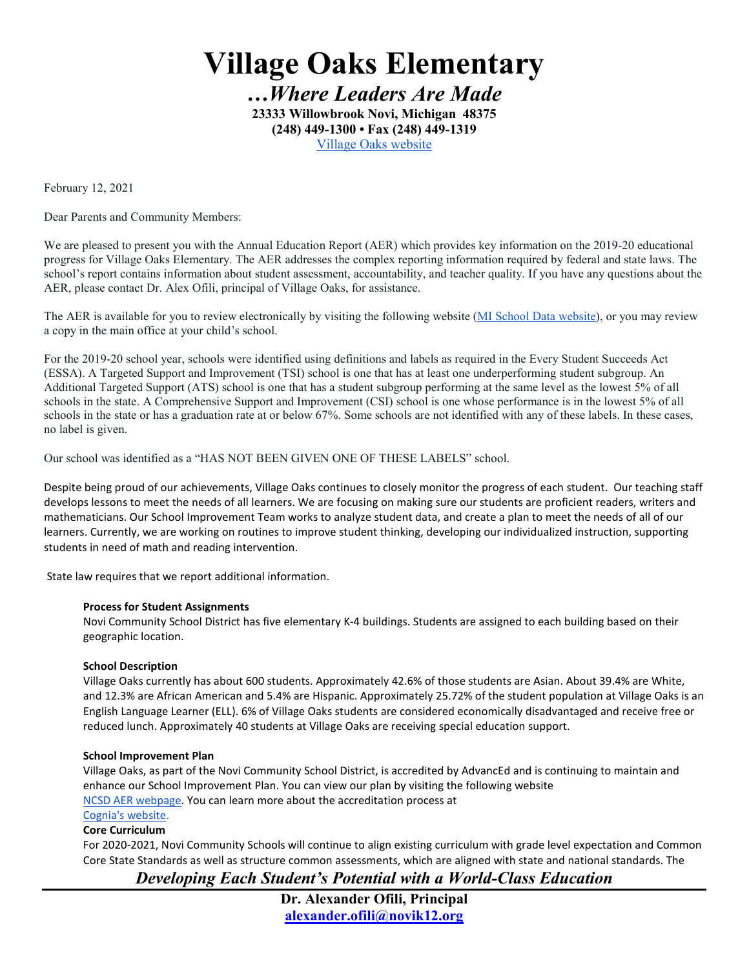**Village Oaks Elementary**

*…Where Leaders Are Made* **23333 Willowbrook Novi, Michigan 48375 (248) 449-1300 • Fax (248) 449-1319** [Village Oaks website](https://vo.novi.k12.mi.us/)

February 12, 2021

Dear Parents and Community Members:

We are pleased to present you with the Annual Education Report (AER) which provides key information on the 2019-20 educational progress for Village Oaks Elementary. The AER addresses the complex reporting information required by federal and state laws. The school's report contains information about student assessment, accountability, and teacher quality. If you have any questions about the AER, please contact Dr. Alex Ofili, principal of Village Oaks, for assistance.

The AER is available for you to review electronically by visiting the following website [\(MI School Data website\)](https://bit.ly/3qOAQVK), or you may review a copy in the main office at your child's school.

For the 2019-20 school year, schools were identified using definitions and labels as required in the Every Student Succeeds Act (ESSA). A Targeted Support and Improvement (TSI) school is one that has at least one underperforming student subgroup. An Additional Targeted Support (ATS) school is one that has a student subgroup performing at the same level as the lowest 5% of all schools in the state. A Comprehensive Support and Improvement (CSI) school is one whose performance is in the lowest 5% of all schools in the state or has a graduation rate at or below 67%. Some schools are not identified with any of these labels. In these cases, no label is given.

Our school was identified as a "HAS NOT BEEN GIVEN ONE OF THESE LABELS" school.

Despite being proud of our achievements, Village Oaks continues to closely monitor the progress of each student. Our teaching staff develops lessons to meet the needs of all learners. We are focusing on making sure our students are proficient readers, writers and mathematicians. Our School Improvement Team works to analyze student data, and create a plan to meet the needs of all of our learners. Currently, we are working on routines to improve student thinking, developing our individualized instruction, supporting students in need of math and reading intervention.

State law requires that we report additional information.

## **Process for Student Assignments**

Novi Community School District has five elementary K-4 buildings. Students are assigned to each building based on their geographic location.

## **School Description**

Village Oaks currently has about 600 students. Approximately 42.6% of those students are Asian. About 39.4% are White, and 12.3% are African American and 5.4% are Hispanic. Approximately 25.72% of the student population at Village Oaks is an English Language Learner (ELL). 6% of Village Oaks students are considered economically disadvantaged and receive free or reduced lunch. Approximately 40 students at Village Oaks are receiving special education support.

## **School Improvement Plan**

Village Oaks, as part of the Novi Community School District, is accredited by AdvancEd and is continuing to maintain and enhance our School Improvement Plan. You can view our plan by visiting the following website [NCSD AER webpage.](https://www.novi.k12.mi.us/district/aer) You can learn more about the accreditation process at

#### [Cognia's website.](https://www.cognia.org/) **Core Curriculum**

For 2020-2021, Novi Community Schools will continue to align existing curriculum with grade level expectation and Common Core State Standards as well as structure common assessments, which are aligned with state and national standards. The

*Developing Each Student's Potential with a World-Class Education*

**Dr. Alexander Ofili, Principal [alexander.ofili@novik12.org](mailto:alexander.ofili@novik12.org)**